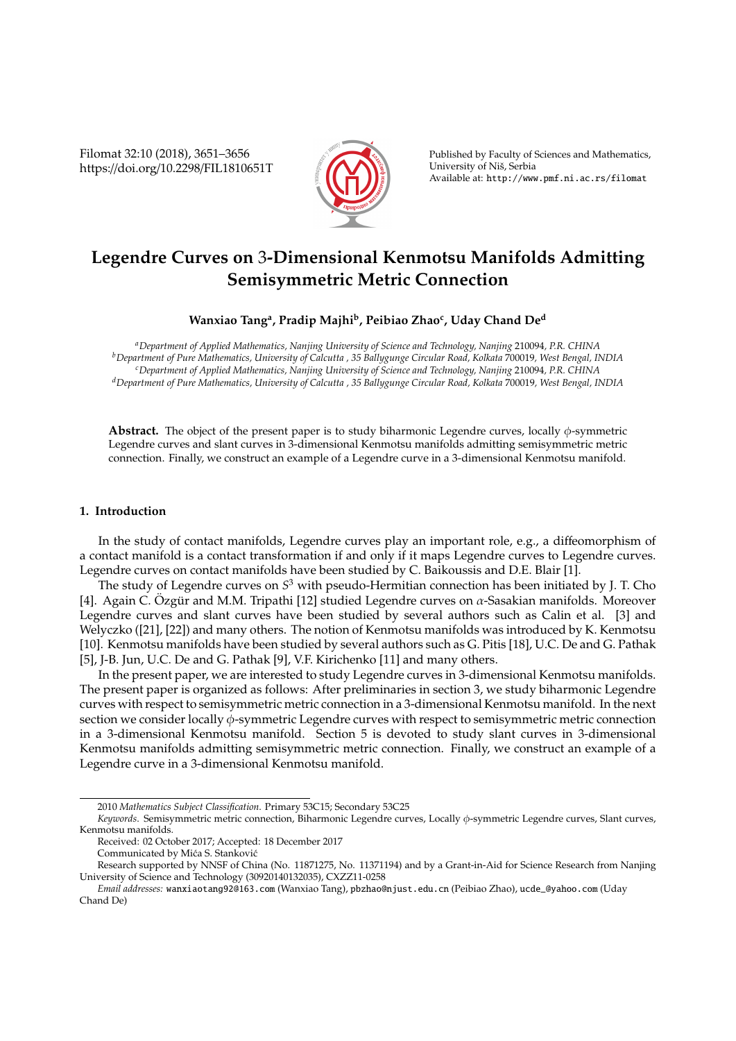Filomat 32:10 (2018), 3651–3656 https://doi.org/10.2298/FIL1810651T



Published by Faculty of Sciences and Mathematics, University of Niš, Serbia Available at: http://www.pmf.ni.ac.rs/filomat

# **Legendre Curves on** 3**-Dimensional Kenmotsu Manifolds Admitting Semisymmetric Metric Connection**

# **Wanxiao Tang<sup>a</sup> , Pradip Majhi<sup>b</sup> , Peibiao Zhao<sup>c</sup> , Uday Chand De<sup>d</sup>**

*<sup>a</sup>Department of Applied Mathematics, Nanjing University of Science and Technology, Nanjing* 210094*, P.R. CHINA <sup>b</sup>Department of Pure Mathematics, University of Calcutta , 35 Ballygunge Circular Road, Kolkata* 700019*, West Bengal, INDIA <sup>c</sup>Department of Applied Mathematics, Nanjing University of Science and Technology, Nanjing* 210094*, P.R. CHINA <sup>d</sup>Department of Pure Mathematics, University of Calcutta , 35 Ballygunge Circular Road, Kolkata* 700019*, West Bengal, INDIA*

**Abstract.** The object of the present paper is to study biharmonic Legendre curves, locally φ-symmetric Legendre curves and slant curves in 3-dimensional Kenmotsu manifolds admitting semisymmetric metric connection. Finally, we construct an example of a Legendre curve in a 3-dimensional Kenmotsu manifold.

## **1. Introduction**

In the study of contact manifolds, Legendre curves play an important role, e.g., a diffeomorphism of a contact manifold is a contact transformation if and only if it maps Legendre curves to Legendre curves. Legendre curves on contact manifolds have been studied by C. Baikoussis and D.E. Blair [1].

The study of Legendre curves on *S* <sup>3</sup> with pseudo-Hermitian connection has been initiated by J. T. Cho [4]. Again C. Özgür and M.M. Tripathi [12] studied Legendre curves on  $\alpha$ -Sasakian manifolds. Moreover Legendre curves and slant curves have been studied by several authors such as Calin et al. [3] and Welyczko ([21], [22]) and many others. The notion of Kenmotsu manifolds was introduced by K. Kenmotsu [10]. Kenmotsu manifolds have been studied by several authors such as G. Pitis [18], U.C. De and G. Pathak [5], J-B. Jun, U.C. De and G. Pathak [9], V.F. Kirichenko [11] and many others.

In the present paper, we are interested to study Legendre curves in 3-dimensional Kenmotsu manifolds. The present paper is organized as follows: After preliminaries in section 3, we study biharmonic Legendre curves with respect to semisymmetric metric connection in a 3-dimensional Kenmotsu manifold. In the next section we consider locally φ-symmetric Legendre curves with respect to semisymmetric metric connection in a 3-dimensional Kenmotsu manifold. Section 5 is devoted to study slant curves in 3-dimensional Kenmotsu manifolds admitting semisymmetric metric connection. Finally, we construct an example of a Legendre curve in a 3-dimensional Kenmotsu manifold.

<sup>2010</sup> *Mathematics Subject Classification*. Primary 53C15; Secondary 53C25

*Keywords*. Semisymmetric metric connection, Biharmonic Legendre curves, Locally φ-symmetric Legendre curves, Slant curves, Kenmotsu manifolds.

Received: 02 October 2017; Accepted: 18 December 2017

Communicated by Mića S. Stanković

Research supported by NNSF of China (No. 11871275, No. 11371194) and by a Grant-in-Aid for Science Research from Nanjing University of Science and Technology (30920140132035), CXZZ11-0258

*Email addresses:* wanxiaotang92@163.com (Wanxiao Tang), pbzhao@njust.edu.cn (Peibiao Zhao), ucde\_@yahoo.com (Uday Chand De)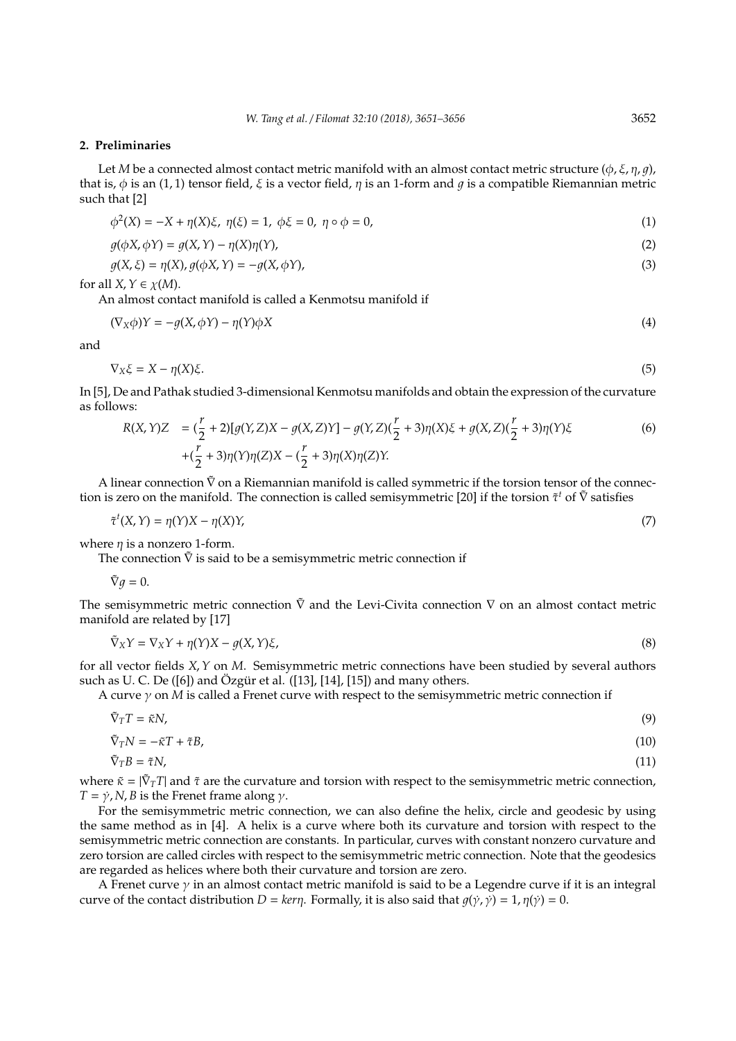#### **2. Preliminaries**

Let *M* be a connected almost contact metric manifold with an almost contact metric structure ( $\phi$ ,  $\xi$ ,  $\eta$ ,  $q$ ), that is,  $\phi$  is an (1, 1) tensor field,  $\xi$  is a vector field,  $\eta$  is an 1-form and  $\eta$  is a compatible Riemannian metric such that [2]

$$
\phi^{2}(X) = -X + \eta(X)\xi, \ \eta(\xi) = 1, \ \phi\xi = 0, \ \eta \circ \phi = 0,
$$
\n(1)

$$
g(\phi X, \phi Y) = g(X, Y) - \eta(X)\eta(Y),
$$
\n(2)

$$
g(X,\xi) = \eta(X), g(\phi X, Y) = -g(X, \phi Y),
$$
\n(3)

for all  $X, Y \in \chi(M)$ .

An almost contact manifold is called a Kenmotsu manifold if

$$
(\nabla_X \phi)Y = -g(X, \phi Y) - \eta(Y)\phi X \tag{4}
$$

and

$$
\nabla_X \xi = X - \eta(X)\xi. \tag{5}
$$

In [5], De and Pathak studied 3-dimensional Kenmotsu manifolds and obtain the expression of the curvature as follows:

$$
R(X,Y)Z = (\frac{r}{2} + 2)[g(Y,Z)X - g(X,Z)Y] - g(Y,Z)(\frac{r}{2} + 3)\eta(X)\xi + g(X,Z)(\frac{r}{2} + 3)\eta(Y)\xi
$$
  
 
$$
+ (\frac{r}{2} + 3)\eta(Y)\eta(Z)X - (\frac{r}{2} + 3)\eta(X)\eta(Z)Y.
$$
 (6)

A linear connection  $\tilde{V}$  on a Riemannian manifold is called symmetric if the torsion tensor of the connection is zero on the manifold. The connection is called semisymmetric [20] if the torsion  $\tilde{\tau}^t$  of  $\tilde{\nabla}$  satisfies

$$
\tilde{\tau}^t(X, Y) = \eta(Y)X - \eta(X)Y,\tag{7}
$$

where  $\eta$  is a nonzero 1-form.

The connection  $\tilde{V}$  is said to be a semisymmetric metric connection if

$$
\tilde{\nabla}g=0.
$$

The semisymmetric metric connection  $\tilde{\nabla}$  and the Levi-Civita connection  $\nabla$  on an almost contact metric manifold are related by [17]

$$
\tilde{\nabla}_X Y = \nabla_X Y + \eta(Y) X - g(X, Y)\xi,\tag{8}
$$

for all vector fields *X*,*Y* on *M*. Semisymmetric metric connections have been studied by several authors such as U. C. De ([6]) and Özgür et al. ([13], [14], [15]) and many others.

A curve γ on *M* is called a Frenet curve with respect to the semisymmetric metric connection if

$$
\tilde{\nabla}_T T = \tilde{\kappa} N,\tag{9}
$$

$$
\tilde{\nabla}_T N = -\tilde{\kappa} T + \tilde{\tau} B,\tag{10}
$$

$$
\nabla_T B = \tilde{\tau} N,\tag{11}
$$

where  $\tilde{\kappa} = |\tilde{\nabla}_T T|$  and  $\tilde{\tau}$  are the curvature and torsion with respect to the semisymmetric metric connection,  $T = \dot{\gamma}$ , *N*, *B* is the Frenet frame along  $\gamma$ .

For the semisymmetric metric connection, we can also define the helix, circle and geodesic by using the same method as in [4]. A helix is a curve where both its curvature and torsion with respect to the semisymmetric metric connection are constants. In particular, curves with constant nonzero curvature and zero torsion are called circles with respect to the semisymmetric metric connection. Note that the geodesics are regarded as helices where both their curvature and torsion are zero.

A Frenet curve  $\gamma$  in an almost contact metric manifold is said to be a Legendre curve if it is an integral curve of the contact distribution *D* = *kern*. Formally, it is also said that  $q(\gamma, \gamma) = 1$ ,  $\eta(\gamma) = 0$ .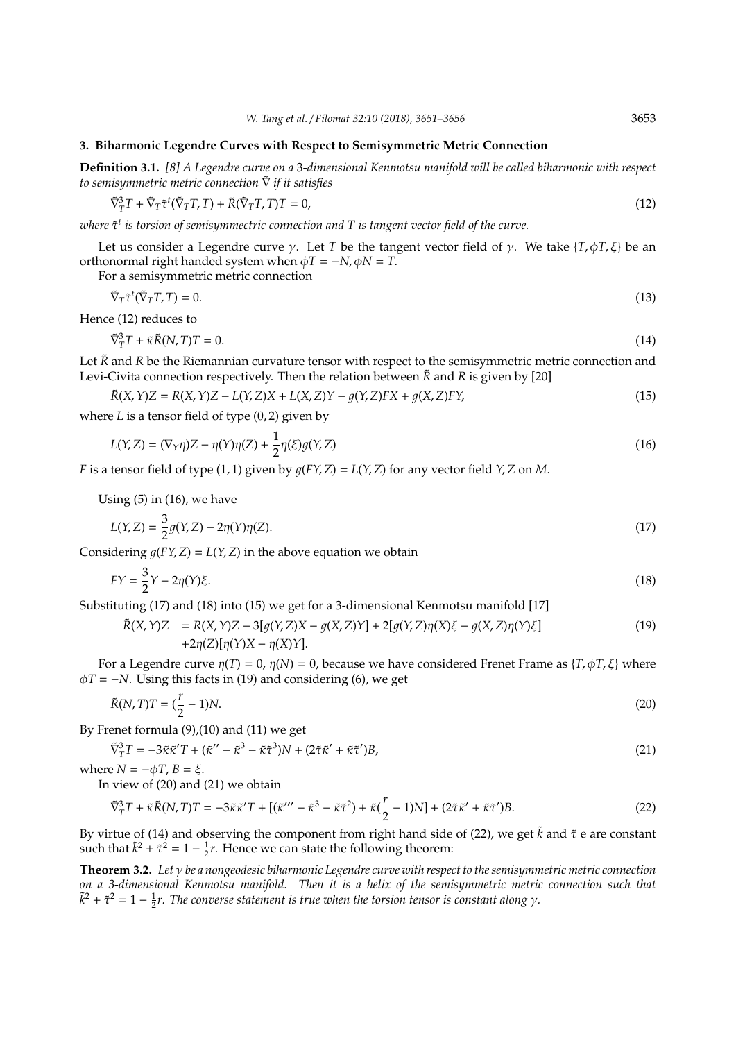### **3. Biharmonic Legendre Curves with Respect to Semisymmetric Metric Connection**

**Definition 3.1.** *[8] A Legendre curve on a* 3*-dimensional Kenmotsu manifold will be called biharmonic with respect to semisymmetric metric connection* ∇˜ *if it satisfies*

$$
\tilde{\nabla}_T^3 T + \tilde{\nabla}_T \tilde{\tau}^t (\tilde{\nabla}_T T, T) + \tilde{R} (\tilde{\nabla}_T T, T) T = 0,
$$
\n(12)

where τ̃<sup>t</sup> is torsion of semisymmectric connection and T is tangent vector field of the curve.

Let us consider a Legendre curve  $\gamma$ . Let *T* be the tangent vector field of  $\gamma$ . We take {*T*,  $\phi$ *T*,  $\xi$ } be an orthonormal right handed system when  $\phi T = -N$ ,  $\phi N = T$ .

For a semisymmetric metric connection

$$
\tilde{\nabla}_T \tilde{\tau}^t (\tilde{\nabla}_T T, T) = 0. \tag{13}
$$

Hence (12) reduces to

$$
\tilde{\nabla}_T^3 T + \tilde{\kappa} \tilde{R}(N, T) T = 0. \tag{14}
$$

Let  $\tilde{R}$  and *R* be the Riemannian curvature tensor with respect to the semisymmetric metric connection and Levi-Civita connection respectively. Then the relation between  $\tilde{R}$  and *R* is given by [20]

$$
\tilde{R}(X, Y)Z = R(X, Y)Z - L(Y, Z)X + L(X, Z)Y - g(Y, Z)FX + g(X, Z)FY,
$$
\n(15)

where *L* is a tensor field of type (0, 2) given by

$$
L(Y,Z) = (\nabla_Y \eta)Z - \eta(Y)\eta(Z) + \frac{1}{2}\eta(\xi)g(Y,Z)
$$
\n(16)

*F* is a tensor field of type (1, 1) given by  $q(FY, Z) = L(Y, Z)$  for any vector field  $Y, Z$  on *M*.

Using (5) in (16), we have  $\sim$ 

$$
L(Y, Z) = \frac{3}{2}g(Y, Z) - 2\eta(Y)\eta(Z). \tag{17}
$$

Considering  $q(FY, Z) = L(Y, Z)$  in the above equation we obtain

$$
FY = \frac{3}{2}Y - 2\eta(Y)\xi.
$$
\n(18)

Substituting (17) and (18) into (15) we get for a 3-dimensional Kenmotsu manifold [17]

$$
\tilde{R}(X,Y)Z = R(X,Y)Z - 3[g(Y,Z)X - g(X,Z)Y] + 2[g(Y,Z)\eta(X)\xi - g(X,Z)\eta(Y)\xi]
$$
\n
$$
+2\eta(Z)[\eta(Y)X - \eta(X)Y].
$$
\n(19)

For a Legendre curve  $\eta(T) = 0$ ,  $\eta(N) = 0$ , because we have considered Frenet Frame as  $\{T, \phi T, \xi\}$  where  $\phi T = -N$ . Using this facts in (19) and considering (6), we get

$$
\tilde{R}(N,T)T = (\frac{r}{2} - 1)N.\tag{20}
$$

By Frenet formula (9),(10) and (11) we get

$$
\tilde{\nabla}_T^3 T = -3\tilde{\kappa}\tilde{\kappa}' T + (\tilde{\kappa}'' - \tilde{\kappa}^3 - \tilde{\kappa}\tilde{\tau}^3)N + (2\tilde{\tau}\tilde{\kappa}' + \tilde{\kappa}\tilde{\tau}')B,\tag{21}
$$

where  $N = -\phi T$ ,  $B = \xi$ .

In view of (20) and (21) we obtain

$$
\tilde{\nabla}_T^3 T + \tilde{\kappa}\tilde{R}(N,T)T = -3\tilde{\kappa}\tilde{\kappa}'T + \left[ (\tilde{\kappa}''' - \tilde{\kappa}^3 - \tilde{\kappa}\tilde{\tau}^2) + \tilde{\kappa}(\frac{r}{2} - 1)N \right] + (2\tilde{\tau}\tilde{\kappa}' + \tilde{\kappa}\tilde{\tau}')B. \tag{22}
$$

By virtue of (14) and observing the component from right hand side of (22), we get  $\tilde{k}$  and  $\tilde{\tau}$  e are constant such that  $\tilde{k}^2 + \tilde{\tau}^2 = 1 - \frac{1}{2}r$ . Hence we can state the following theorem:

**Theorem 3.2.** *Let* γ *be a nongeodesic biharmonic Legendre curve with respect to the semisymmetric metric connection on a 3-dimensional Kenmotsu manifold. Then it is a helix of the semisymmetric metric connection such that*  $\tilde{k}^2 + \tilde{\tau}^2 = 1 - \frac{1}{2}r$ . The converse statement is true when the torsion tensor is constant along  $\gamma$ .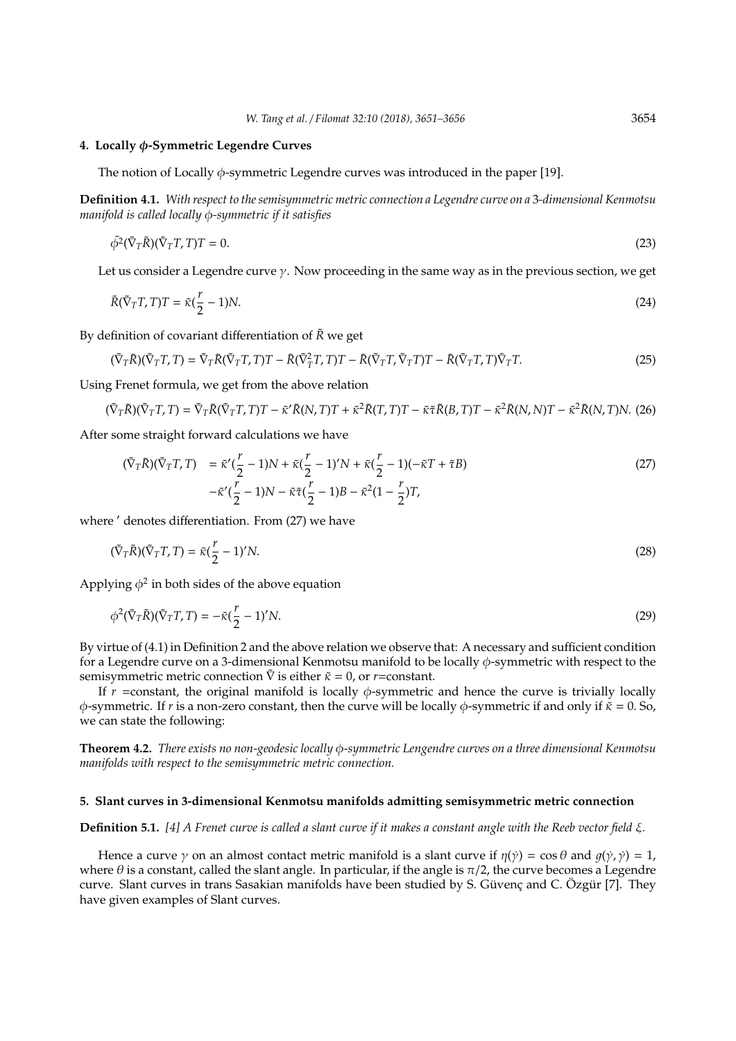#### **4. Locally** φ**-Symmetric Legendre Curves**

The notion of Locally  $\phi$ -symmetric Legendre curves was introduced in the paper [19].

**Definition 4.1.** *With respect to the semisymmetric metric connection a Legendre curve on a* 3*-dimensional Kenmotsu manifold is called locally* φ*-symmetric if it satisfies*

$$
\tilde{\phi}^2(\tilde{\nabla}_T \tilde{R})(\tilde{\nabla}_T T, T)T = 0.
$$
\n(23)

Let us consider a Legendre curve  $\gamma$ . Now proceeding in the same way as in the previous section, we get

$$
\tilde{R}(\tilde{\nabla}_T T, T)T = \tilde{\kappa}(\frac{r}{2} - 1)N. \tag{24}
$$

By definition of covariant differentiation of  $\tilde{R}$  we get

$$
(\tilde{\nabla}_T \tilde{R})(\tilde{\nabla}_T T, T) = \tilde{\nabla}_T \tilde{R}(\tilde{\nabla}_T T, T)T - \tilde{R}(\tilde{\nabla}_T^2 T, T)T - \tilde{R}(\tilde{\nabla}_T T, \tilde{\nabla}_T T)T - \tilde{R}(\tilde{\nabla}_T T, T)\tilde{\nabla}_T T.
$$
\n(25)

Using Frenet formula, we get from the above relation

$$
(\tilde{\nabla}_T \tilde{R})(\tilde{\nabla}_T T, T) = \tilde{\nabla}_T \tilde{R}(\tilde{\nabla}_T T, T)T - \tilde{\kappa}' \tilde{R}(N, T)T + \tilde{\kappa}^2 \tilde{R}(T, T)T - \tilde{\kappa} \tilde{\tau} \tilde{R}(B, T)T - \tilde{\kappa}^2 \tilde{R}(N, N)T - \tilde{\kappa}^2 \tilde{R}(N, T)N.
$$
 (26)

After some straight forward calculations we have

$$
(\tilde{\nabla}_T \tilde{R})(\tilde{\nabla}_T T, T) = \tilde{\kappa}'(\frac{r}{2} - 1)N + \tilde{\kappa}(\frac{r}{2} - 1)'N + \tilde{\kappa}(\frac{r}{2} - 1)(-\tilde{\kappa}T + \tilde{\tau}B)
$$
  

$$
-\tilde{\kappa}'(\frac{r}{2} - 1)N - \tilde{\kappa}\tilde{\tau}(\frac{r}{2} - 1)B - \tilde{\kappa}^2(1 - \frac{r}{2})T,
$$
 (27)

where ' denotes differentiation. From (27) we have

$$
(\tilde{\nabla}_T \tilde{R})(\tilde{\nabla}_T T, T) = \tilde{\kappa}(\frac{r}{2} - 1)'N. \tag{28}
$$

Applying  $\phi^2$  in both sides of the above equation

$$
\phi^2(\tilde{\nabla}_T \tilde{R})(\tilde{\nabla}_T T, T) = -\tilde{\kappa}(\frac{r}{2} - 1)'N. \tag{29}
$$

By virtue of (4.1) in Definition 2 and the above relation we observe that: A necessary and sufficient condition for a Legendre curve on a 3-dimensional Kenmotsu manifold to be locally  $\phi$ -symmetric with respect to the semisymmetric metric connection  $\tilde{\nabla}$  is either  $\tilde{\kappa} = 0$ , or *r*=constant.

If  $r$  =constant, the original manifold is locally  $\phi$ -symmetric and hence the curve is trivially locally φ-symmetric. If *r* is a non-zero constant, then the curve will be locally φ-symmetric if and only if  $\tilde{\kappa} = 0$ . So, we can state the following:

**Theorem 4.2.** *There exists no non-geodesic locally* φ*-symmetric Lengendre curves on a three dimensional Kenmotsu manifolds with respect to the semisymmetric metric connection.*

#### **5. Slant curves in 3-dimensional Kenmotsu manifolds admitting semisymmetric metric connection**

**Definition 5.1.** *[4] A Frenet curve is called a slant curve if it makes a constant angle with the Reeb vector field* ξ*.*

Hence a curve  $\gamma$  on an almost contact metric manifold is a slant curve if  $\eta(\gamma) = \cos \theta$  and  $g(\gamma, \gamma) = 1$ , where  $\theta$  is a constant, called the slant angle. In particular, if the angle is  $\pi/2$ , the curve becomes a Legendre curve. Slant curves in trans Sasakian manifolds have been studied by S. Güvenç and C. Özgür [7]. They have given examples of Slant curves.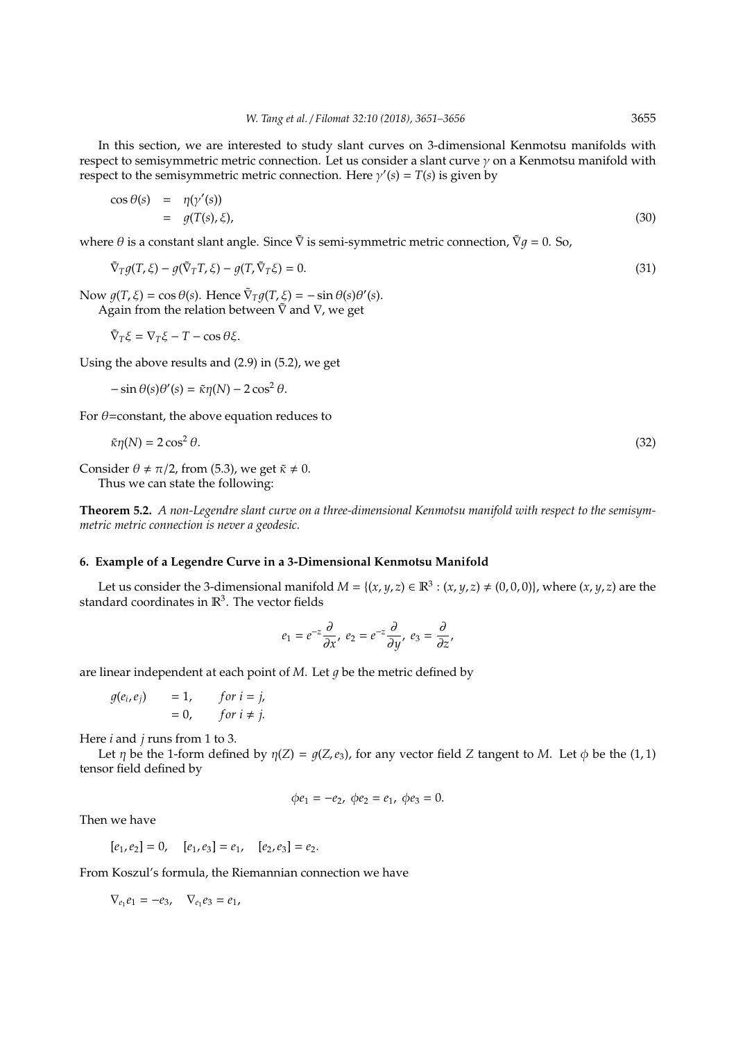In this section, we are interested to study slant curves on 3-dimensional Kenmotsu manifolds with respect to semisymmetric metric connection. Let us consider a slant curve  $\gamma$  on a Kenmotsu manifold with respect to the semisymmetric metric connection. Here  $\gamma'(s) = T(s)$  is given by

$$
\cos \theta(s) = \eta(\gamma'(s)) \n= g(T(s), \xi),
$$
\n(30)

where  $\theta$  is a constant slant angle. Since  $\tilde{\nabla}$  is semi-symmetric metric connection,  $\tilde{\nabla}q = 0$ . So,

$$
\tilde{\nabla}_T g(T,\xi) - g(\tilde{\nabla}_T T,\xi) - g(T,\tilde{\nabla}_T \xi) = 0.
$$
\n(31)

Now  $g(T, \xi) = \cos \theta(s)$ . Hence  $\tilde{\nabla}_T g(T, \xi) = -\sin \theta(s) \theta'(s)$ .

Again from the relation between  $\tilde{\nabla}$  and  $\nabla$ , we get

$$
\tilde{\nabla}_T \xi = \nabla_T \xi - T - \cos \theta \xi.
$$

Using the above results and (2.9) in (5.2), we get

 $-\sin\theta(s)\theta'(s) = \tilde{\kappa}\eta(N) - 2\cos^2\theta.$ 

For  $\theta$ =constant, the above equation reduces to

$$
\tilde{\kappa}\eta(N) = 2\cos^2\theta.\tag{32}
$$

Consider  $\theta \neq \pi/2$ , from (5.3), we get  $\tilde{\kappa} \neq 0$ .

Thus we can state the following:

**Theorem 5.2.** *A non-Legendre slant curve on a three-dimensional Kenmotsu manifold with respect to the semisymmetric metric connection is never a geodesic.*

# **6. Example of a Legendre Curve in a 3-Dimensional Kenmotsu Manifold**

Let us consider the 3-dimensional manifold  $M = \{(x, y, z) \in \mathbb{R}^3 : (x, y, z) \neq (0, 0, 0)\}\)$ , where  $(x, y, z)$  are the standard coordinates in  $\mathbb{R}^3$ . The vector fields

$$
e_1 = e^{-z} \frac{\partial}{\partial x}, \ e_2 = e^{-z} \frac{\partial}{\partial y}, \ e_3 = \frac{\partial}{\partial z},
$$

are linear independent at each point of  $M$ . Let  $q$  be the metric defined by

$$
g(e_i, e_j) = 1, \quad for \ i = j, = 0, \quad for \ i \neq j.
$$

Here *i* and *j* runs from 1 to 3.

Let  $\eta$  be the 1-form defined by  $\eta(Z) = q(Z, e_3)$ , for any vector field *Z* tangent to *M*. Let  $\phi$  be the (1, 1) tensor field defined by

$$
\phi e_1 = -e_2, \ \phi e_2 = e_1, \ \phi e_3 = 0.
$$

Then we have

 $[e_1, e_2] = 0$ ,  $[e_1, e_3] = e_1$ ,  $[e_2, e_3] = e_2$ .

From Koszul's formula, the Riemannian connection we have

 $\nabla_{e_1} e_1 = -e_3, \quad \nabla_{e_1} e_3 = e_1,$